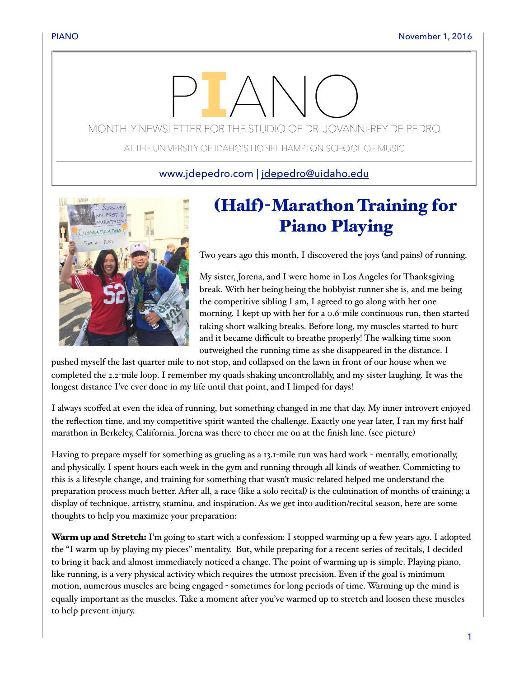## $\Box$

MONTHLY NEWSLETTER FOR THE STUDIO OF DR. JOVANNI-REY DE PEDRO

AT THE UNIVERSITY OF IDAHO'S LIONEL HAMPTON SCHOOL OF MUSIC

www.jdepedro.com | [jdepedro@uidaho.edu](mailto:jdepedro@uidaho.edu)



## (Half)-Marathon Training for Piano Playing

Two years ago this month, I discovered the joys (and pains) of running.

My sister, Jorena, and I were home in Los Angeles for Thanksgiving break. With her being being the hobbyist runner she is, and me being the competitive sibling I am, I agreed to go along with her one morning. I kept up with her for a 0.6-mile continuous run, then started taking short walking breaks. Before long, my muscles started to hurt and it became difficult to breathe properly! The walking time soon outweighed the running time as she disappeared in the distance. I

pushed myself the last quarter mile to not stop, and collapsed on the lawn in front of our house when we completed the 2.2-mile loop. I remember my quads shaking uncontrollably, and my sister laughing. It was the longest distance I've ever done in my life until that point, and I limped for days!

I always scoffed at even the idea of running, but something changed in me that day. My inner introvert enjoyed the reflection time, and my competitive spirit wanted the challenge. Exactly one year later, I ran my first half marathon in Berkeley, California. Jorena was there to cheer me on at the finish line. (see picture)

Having to prepare myself for something as grueling as a 13.1-mile run was hard work - mentally, emotionally, and physically. I spent hours each week in the gym and running through all kinds of weather. Committing to this is a lifestyle change, and training for something that wasn't music-related helped me understand the preparation process much better. After all, a race (like a solo recital) is the culmination of months of training; a display of technique, artistry, stamina, and inspiration. As we get into audition/recital season, here are some thoughts to help you maximize your preparation:

Warm up and Stretch: I'm going to start with a confession: I stopped warming up a few years ago. I adopted the "I warm up by playing my pieces" mentality. But, while preparing for a recent series of recitals, I decided to bring it back and almost immediately noticed a change. The point of warming up is simple. Playing piano, like running, is a very physical activity which requires the utmost precision. Even if the goal is minimum motion, numerous muscles are being engaged - sometimes for long periods of time. Warming up the mind is equally important as the muscles. Take a moment after you've warmed up to stretch and loosen these muscles to help prevent injury.